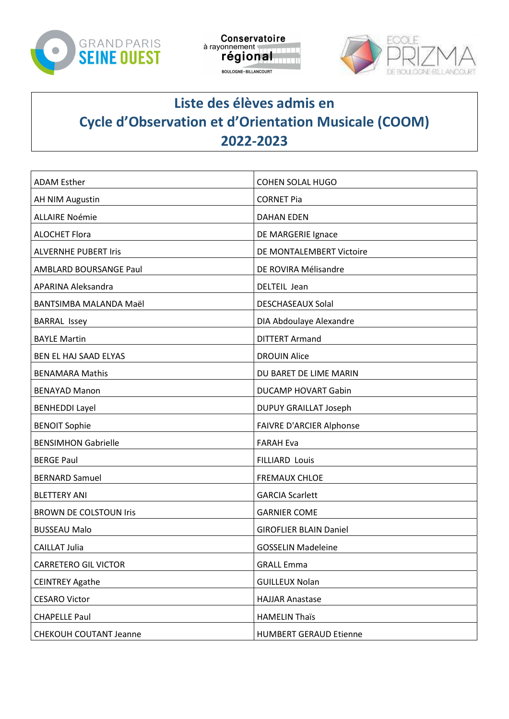





## Liste des élèves admis en Cycle d'Observation et d'Orientation Musicale (COOM) 2022-2023

| <b>ADAM Esther</b>            | COHEN SOLAL HUGO                |
|-------------------------------|---------------------------------|
| <b>AH NIM Augustin</b>        | <b>CORNET Pia</b>               |
| <b>ALLAIRE Noémie</b>         | <b>DAHAN EDEN</b>               |
| <b>ALOCHET Flora</b>          | DE MARGERIE Ignace              |
| <b>ALVERNHE PUBERT Iris</b>   | DE MONTALEMBERT Victoire        |
| <b>AMBLARD BOURSANGE Paul</b> | DE ROVIRA Mélisandre            |
| APARINA Aleksandra            | DELTEIL Jean                    |
| BANTSIMBA MALANDA Maël        | <b>DESCHASEAUX Solal</b>        |
| <b>BARRAL Issey</b>           | DIA Abdoulaye Alexandre         |
| <b>BAYLE Martin</b>           | <b>DITTERT Armand</b>           |
| BEN EL HAJ SAAD ELYAS         | <b>DROUIN Alice</b>             |
| <b>BENAMARA Mathis</b>        | DU BARET DE LIME MARIN          |
| <b>BENAYAD Manon</b>          | DUCAMP HOVART Gabin             |
| <b>BENHEDDI Layel</b>         | <b>DUPUY GRAILLAT Joseph</b>    |
| <b>BENOIT Sophie</b>          | <b>FAIVRE D'ARCIER Alphonse</b> |
| <b>BENSIMHON Gabrielle</b>    | <b>FARAH Eva</b>                |
| <b>BERGE Paul</b>             | <b>FILLIARD Louis</b>           |
| <b>BERNARD Samuel</b>         | <b>FREMAUX CHLOE</b>            |
| <b>BLETTERY ANI</b>           | <b>GARCIA Scarlett</b>          |
| <b>BROWN DE COLSTOUN Iris</b> | <b>GARNIER COME</b>             |
| <b>BUSSEAU Malo</b>           | <b>GIROFLIER BLAIN Daniel</b>   |
| <b>CAILLAT Julia</b>          | <b>GOSSELIN Madeleine</b>       |
| <b>CARRETERO GIL VICTOR</b>   | <b>GRALL Emma</b>               |
| <b>CEINTREY Agathe</b>        | <b>GUILLEUX Nolan</b>           |
| <b>CESARO Victor</b>          | <b>HAJJAR Anastase</b>          |
| <b>CHAPELLE Paul</b>          | <b>HAMELIN Thaïs</b>            |
| CHEKOUH COUTANT Jeanne        | <b>HUMBERT GERAUD Etienne</b>   |